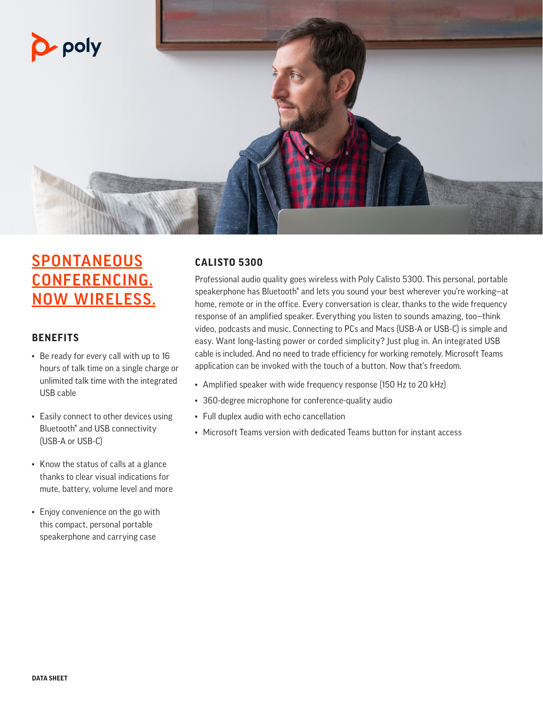

## **SPONTANEOUS** CONFERENCING. NOW WIRELESS.

#### **BENEFITS**

- Be ready for every call with up to 16 hours of talk time on a single charge or unlimited talk time with the integrated USB cable
- Easily connect to other devices using Bluetooth® and USB connectivity (USB-A or USB-C)
- Know the status of calls at a glance thanks to clear visual indications for mute, battery, volume level and more
- Enjoy convenience on the go with this compact, personal portable speakerphone and carrying case

#### **CALISTO 5300**

Professional audio quality goes wireless with Poly Calisto 5300. This personal, portable speakerphone has Bluetooth® and lets you sound your best wherever you're working—at home, remote or in the office. Every conversation is clear, thanks to the wide frequency response of an amplified speaker. Everything you listen to sounds amazing, too—think video, podcasts and music. Connecting to PCs and Macs (USB-A or USB-C) is simple and easy. Want long-lasting power or corded simplicity? Just plug in. An integrated USB cable is included. And no need to trade efficiency for working remotely. Microsoft Teams application can be invoked with the touch of a button. Now that's freedom.

- Amplified speaker with wide frequency response (150 Hz to 20 kHz)
- 360-degree microphone for conference-quality audio
- Full duplex audio with echo cancellation
- Microsoft Teams version with dedicated Teams button for instant access